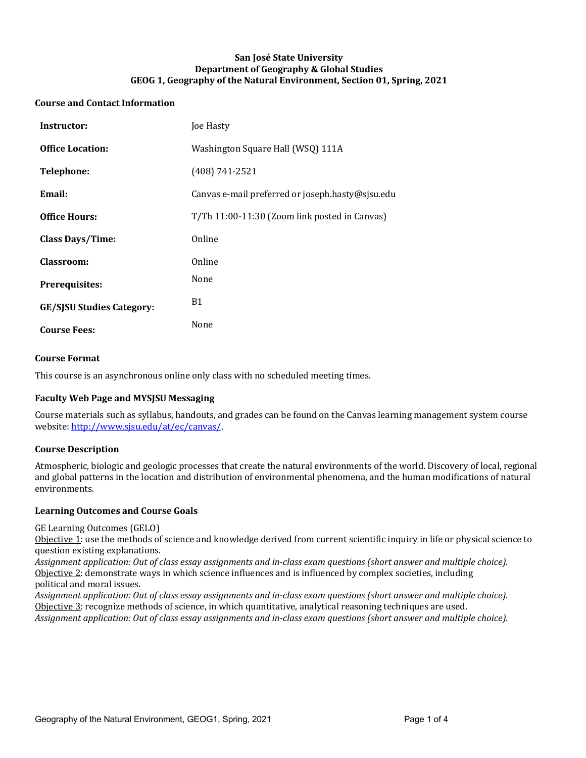## **San José State University Department of Geography & Global Studies** GEOG 1, Geography of the Natural Environment, Section 01, Spring, 2021

## **Course and Contact Information**

| Instructor:                      | Joe Hasty                                        |
|----------------------------------|--------------------------------------------------|
| <b>Office Location:</b>          | Washington Square Hall (WSQ) 111A                |
| <b>Telephone:</b>                | $(408) 741 - 2521$                               |
| Email:                           | Canvas e-mail preferred or joseph.hasty@sjsu.edu |
| <b>Office Hours:</b>             | T/Th 11:00-11:30 (Zoom link posted in Canvas)    |
| <b>Class Days/Time:</b>          | Online                                           |
| Classroom:                       | Online                                           |
| Prerequisites:                   | None                                             |
| <b>GE/SJSU Studies Category:</b> | B1                                               |
| <b>Course Fees:</b>              | None                                             |

#### **Course Format**

This course is an asynchronous online only class with no scheduled meeting times.

#### **Faculty Web Page and MYSJSU Messaging**

Course materials such as syllabus, handouts, and grades can be found on the Canvas learning management system course website: http://www.sjsu.edu/at/ec/canvas/.

#### **Course Description**

Atmospheric, biologic and geologic processes that create the natural environments of the world. Discovery of local, regional and global patterns in the location and distribution of environmental phenomena, and the human modifications of natural environments.

#### **Learning Outcomes and Course Goals**

GE Learning Outcomes (GELO)

Objective  $1$ : use the methods of science and knowledge derived from current scientific inquiry in life or physical science to question existing explanations.

Assignment application: Out of class essay assignments and in-class exam questions (short answer and multiple choice). Objective 2: demonstrate ways in which science influences and is influenced by complex societies, including political and moral issues.

Assignment application: Out of class essay assignments and in-class exam questions (short answer and multiple choice). Objective 3: recognize methods of science, in which quantitative, analytical reasoning techniques are used. Assignment application: Out of class essay assignments and in-class exam questions (short answer and multiple choice).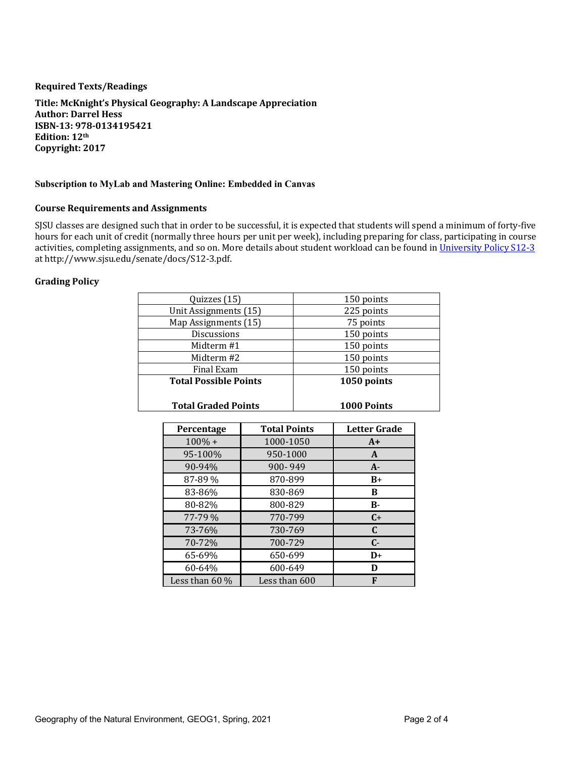## **Required Texts/Readings**

Title: McKnight's Physical Geography: A Landscape Appreciation **Author: Darrel Hess ISBN-13: 978-0134195421 Edition: 12th Copyright: 2017**

## **Subscription to MyLab and Mastering Online: Embedded in Canvas**

#### **Course Requirements and Assignments**

SJSU classes are designed such that in order to be successful, it is expected that students will spend a minimum of forty-five hours for each unit of credit (normally three hours per unit per week), including preparing for class, participating in course activities, completing assignments, and so on. More details about student workload can be found in University Policy S12-3 at http://www.sjsu.edu/senate/docs/S12-3.pdf.

## **Grading Policy**

| Quizzes (15)                 | 150 points         |
|------------------------------|--------------------|
| Unit Assignments (15)        | 225 points         |
| Map Assignments (15)         | 75 points          |
| <b>Discussions</b>           | 150 points         |
| Midterm #1                   | 150 points         |
| Midterm #2                   | 150 points         |
| Final Exam                   | 150 points         |
| <b>Total Possible Points</b> | 1050 points        |
| <b>Total Graded Points</b>   | <b>1000 Points</b> |

| <b>Percentage</b> | <b>Total Points</b> | <b>Letter Grade</b> |
|-------------------|---------------------|---------------------|
| $100\% +$         | 1000-1050           | $A+$                |
| 95-100%           | 950-1000            | A                   |
| 90-94%            | 900-949             | $A -$               |
| 87-89 %           | 870-899             | $B+$                |
| 83-86%            | 830-869             | в                   |
| 80-82%            | 800-829             | $B -$               |
| 77-79 %           | 770-799             | $C+$                |
| 73-76%            | 730-769             | C                   |
| 70-72%            | 700-729             | $C -$               |
| 65-69%            | 650-699             | $D+$                |
| 60-64%            | 600-649             | D                   |
| Less than $60\%$  | Less than 600       | F                   |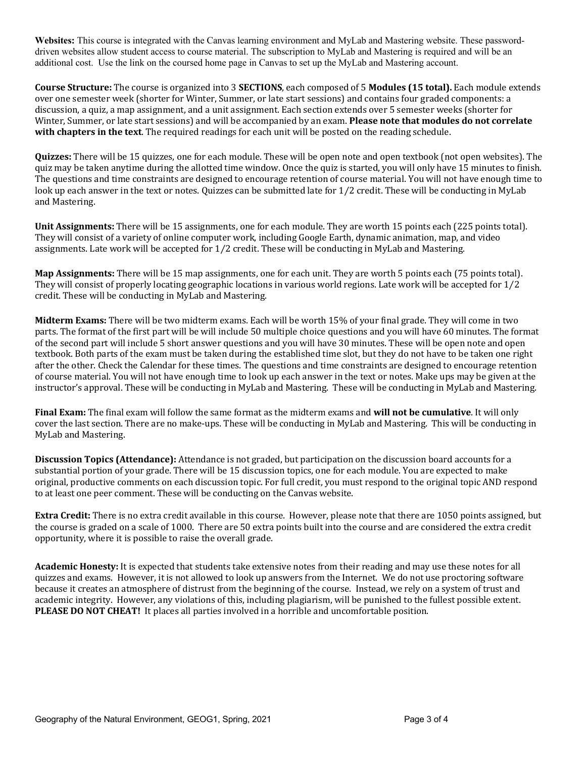**Websites:** This course is integrated with the Canvas learning environment and MyLab and Mastering website. These passworddriven websites allow student access to course material. The subscription to MyLab and Mastering is required and will be an additional cost. Use the link on the coursed home page in Canvas to set up the MyLab and Mastering account.

**Course Structure:** The course is organized into 3 **SECTIONS**, each composed of 5 **Modules (15 total).** Each module extends over one semester week (shorter for Winter, Summer, or late start sessions) and contains four graded components: a discussion, a quiz, a map assignment, and a unit assignment. Each section extends over 5 semester weeks (shorter for Winter, Summer, or late start sessions) and will be accompanied by an exam. **Please note that modules do not correlate** with chapters in the text. The required readings for each unit will be posted on the reading schedule.

**Quizzes:** There will be 15 quizzes, one for each module. These will be open note and open textbook (not open websites). The quiz may be taken anytime during the allotted time window. Once the quiz is started, you will only have 15 minutes to finish. The questions and time constraints are designed to encourage retention of course material. You will not have enough time to look up each answer in the text or notes. Quizzes can be submitted late for 1/2 credit. These will be conducting in MyLab and Mastering.

**Unit Assignments:** There will be 15 assignments, one for each module. They are worth 15 points each (225 points total). They will consist of a variety of online computer work, including Google Earth, dynamic animation, map, and video assignments. Late work will be accepted for  $1/2$  credit. These will be conducting in MyLab and Mastering.

**Map Assignments:** There will be 15 map assignments, one for each unit. They are worth 5 points each (75 points total). They will consist of properly locating geographic locations in various world regions. Late work will be accepted for  $1/2$ credit. These will be conducting in MyLab and Mastering.

**Midterm Exams:** There will be two midterm exams. Each will be worth 15% of your final grade. They will come in two parts. The format of the first part will be will include 50 multiple choice questions and you will have 60 minutes. The format of the second part will include 5 short answer questions and you will have 30 minutes. These will be open note and open textbook. Both parts of the exam must be taken during the established time slot, but they do not have to be taken one right after the other. Check the Calendar for these times. The questions and time constraints are designed to encourage retention of course material. You will not have enough time to look up each answer in the text or notes. Make ups may be given at the instructor's approval. These will be conducting in MyLab and Mastering. These will be conducting in MyLab and Mastering.

**Final Exam:** The final exam will follow the same format as the midterm exams and **will not be cumulative**. It will only cover the last section. There are no make-ups. These will be conducting in MyLab and Mastering. This will be conducting in MyLab and Mastering.

**Discussion Topics (Attendance):** Attendance is not graded, but participation on the discussion board accounts for a substantial portion of your grade. There will be 15 discussion topics, one for each module. You are expected to make original, productive comments on each discussion topic. For full credit, you must respond to the original topic AND respond to at least one peer comment. These will be conducting on the Canvas website.

**Extra Credit:** There is no extra credit available in this course. However, please note that there are 1050 points assigned, but the course is graded on a scale of 1000. There are 50 extra points built into the course and are considered the extra credit opportunity, where it is possible to raise the overall grade.

**Academic Honesty:** It is expected that students take extensive notes from their reading and may use these notes for all quizzes and exams. However, it is not allowed to look up answers from the Internet. We do not use proctoring software because it creates an atmosphere of distrust from the beginning of the course. Instead, we rely on a system of trust and academic integrity. However, any violations of this, including plagiarism, will be punished to the fullest possible extent. **PLEASE DO NOT CHEAT!** It places all parties involved in a horrible and uncomfortable position.